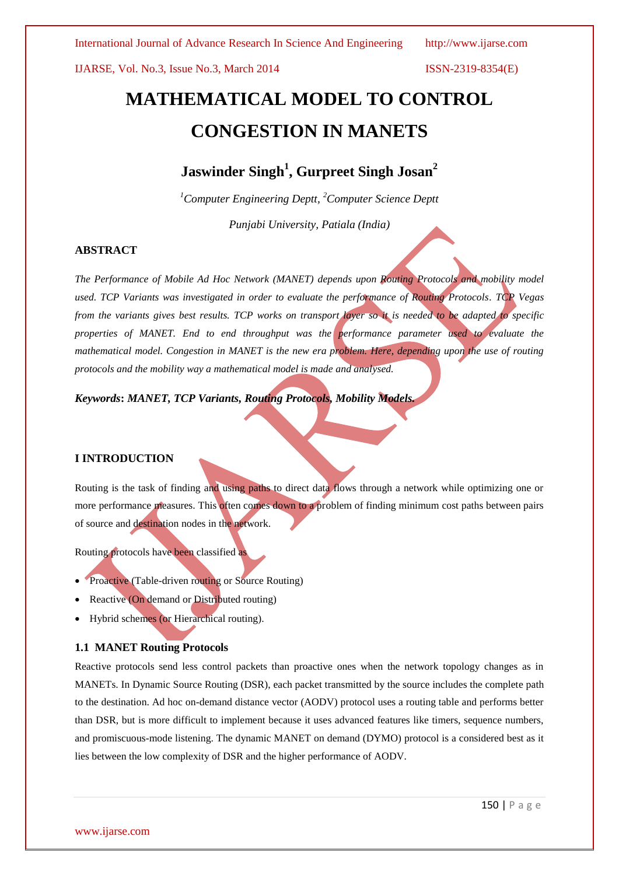# IJARSE, Vol. No.3, Issue No.3, March 2014 ISSN-2319-8354(E)

# **MATHEMATICAL MODEL TO CONTROL CONGESTION IN MANETS**

# **Jaswinder Singh<sup>1</sup> , Gurpreet Singh Josan<sup>2</sup>**

*<sup>1</sup>Computer Engineering Deptt, <sup>2</sup>Computer Science Deptt*

*Punjabi University, Patiala (India)*

# **ABSTRACT**

*The Performance of Mobile Ad Hoc Network (MANET) depends upon Routing Protocols and mobility model used. TCP Variants was investigated in order to evaluate the performance of Routing Protocols. TCP Vegas from the variants gives best results. TCP works on transport layer so it is needed to be adapted to specific properties of MANET. End to end throughput was the performance parameter used to evaluate the mathematical model. Congestion in MANET is the new era problem. Here, depending upon the use of routing protocols and the mobility way a mathematical model is made and analysed.*

*Keywords***:** *MANET, TCP Variants, Routing Protocols, Mobility Models.*

# **I INTRODUCTION**

Routing is the task of finding and using paths to direct data flows through a network while optimizing one or more performance measures. This often comes down to a problem of finding minimum cost paths between pairs of source and destination nodes in the network.

Routing protocols have been classified as

- Proactive (Table-driven routing or Source Routing)
- Reactive (On demand or Distributed routing)
- Hybrid schemes (or Hierarchical routing).

### **1.1 MANET Routing Protocols**

Reactive protocols send less control packets than proactive ones when the network topology changes as in MANETs. In Dynamic Source Routing (DSR), each packet transmitted by the source includes the complete path to the destination. Ad hoc on-demand distance vector (AODV) protocol uses a routing table and performs better than DSR, but is more difficult to implement because it uses advanced features like timers, sequence numbers, and promiscuous-mode listening. The dynamic MANET on demand (DYMO) protocol is a considered best as it lies between the low complexity of DSR and the higher performance of AODV.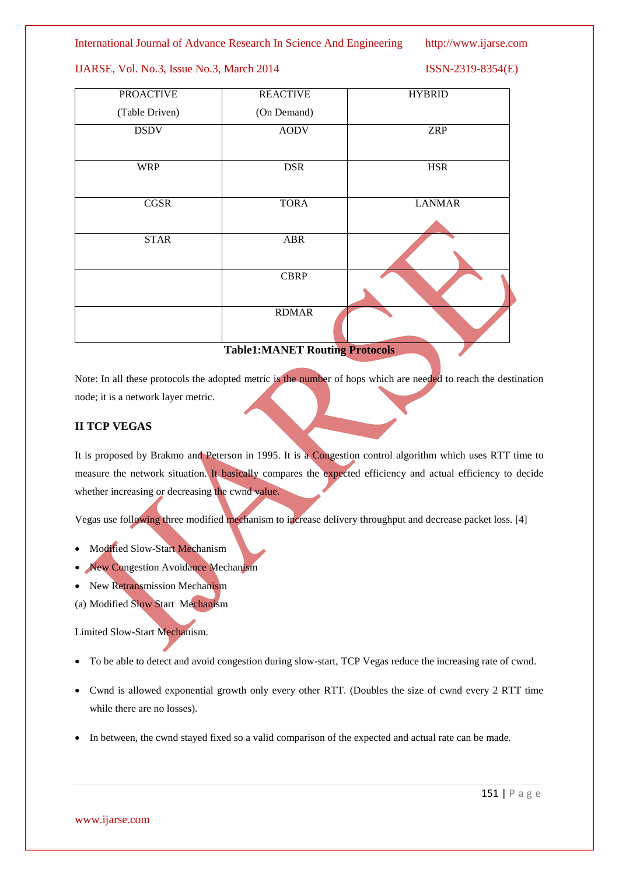# IJARSE, Vol. No.3, Issue No.3, March 2014 ISSN-2319-8354(E)

| <b>PROACTIVE</b> | <b>REACTIVE</b> | <b>HYBRID</b> |
|------------------|-----------------|---------------|
| (Table Driven)   | (On Demand)     |               |
| <b>DSDV</b>      | <b>AODV</b>     | <b>ZRP</b>    |
|                  |                 |               |
| <b>WRP</b>       | <b>DSR</b>      | <b>HSR</b>    |
|                  |                 |               |
| CGSR             | <b>TORA</b>     | <b>LANMAR</b> |
|                  |                 |               |
| <b>STAR</b>      | <b>ABR</b>      |               |
|                  |                 |               |
|                  | <b>CBRP</b>     |               |
|                  |                 |               |
|                  | <b>RDMAR</b>    |               |
|                  |                 |               |

# **Table1:MANET Routing Protocols**

Note: In all these protocols the adopted metric is the number of hops which are needed to reach the destination node; it is a network layer metric.

# **II TCP VEGAS**

It is proposed by Brakmo and Peterson in 1995. It is a Congestion control algorithm which uses RTT time to measure the network situation. It basically compares the expected efficiency and actual efficiency to decide whether increasing or decreasing the cwnd value.

Vegas use following three modified mechanism to increase delivery throughput and decrease packet loss. [4]

- Modified Slow-Start Mechanism
- New Congestion Avoidance Mechanism
- New Retransmission Mechanism
- (a) Modified Slow Start Mechanism

Limited Slow-Start Mechanism.

- To be able to detect and avoid congestion during slow-start, TCP Vegas reduce the increasing rate of cwnd.
- Cwnd is allowed exponential growth only every other RTT. (Doubles the size of cwnd every 2 RTT time while there are no losses).
- In between, the cwnd stayed fixed so a valid comparison of the expected and actual rate can be made.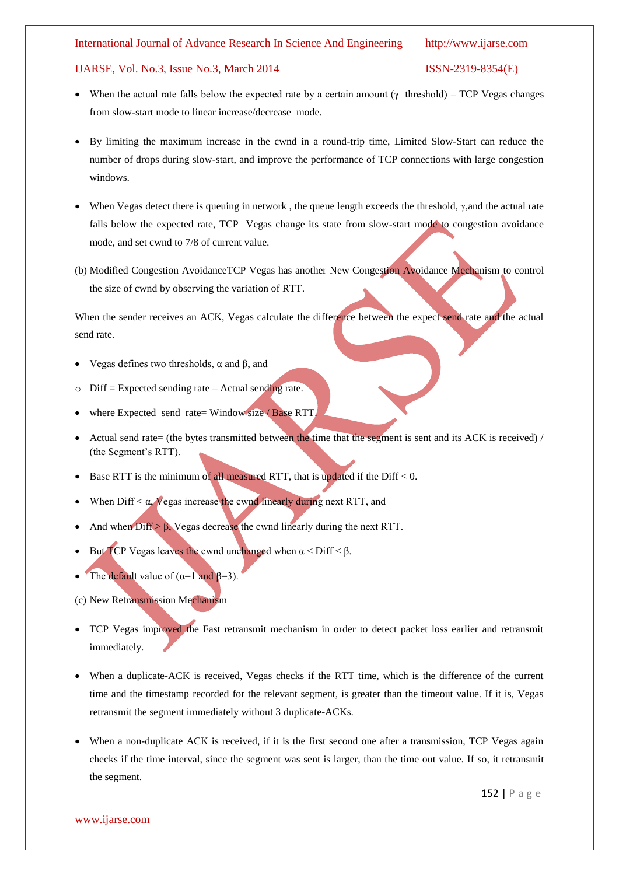### IJARSE, Vol. No.3, Issue No.3, March 2014 ISSN-2319-8354(E)

- When the actual rate falls below the expected rate by a certain amount ( $\gamma$  threshold) TCP Vegas changes from slow-start mode to linear increase/decrease mode.
- By limiting the maximum increase in the cwnd in a round-trip time, Limited Slow-Start can reduce the number of drops during slow-start, and improve the performance of TCP connections with large congestion windows.
- When Vegas detect there is queuing in network, the queue length exceeds the threshold,  $\gamma$ , and the actual rate falls below the expected rate, TCP Vegas change its state from slow-start mode to congestion avoidance mode, and set cwnd to 7/8 of current value.
- (b) Modified Congestion AvoidanceTCP Vegas has another New Congestion Avoidance Mechanism to control the size of cwnd by observing the variation of RTT.

When the sender receives an ACK, Vegas calculate the difference between the expect send rate and the actual send rate.

- Vegas defines two thresholds,  $\alpha$  and  $\beta$ , and
- $\circ$  Diff = Expected sending rate Actual sending rate.
- where Expected send rate= Window size / Base RTT.
- Actual send rate= (the bytes transmitted between the time that the segment is sent and its ACK is received) / (the Segment's RTT).
- Base RTT is the minimum of all measured RTT, that is updated if the Diff  $< 0$ .
- When  $Diff < \alpha$ , Vegas increase the cwnd linearly during next RTT, and
- And when  $Diff > \beta$ , Vegas decrease the cwnd linearly during the next RTT.
- But TCP Vegas leaves the cwnd unchanged when  $\alpha$  < Diff <  $\beta$ .
- The default value of  $(\alpha=1 \text{ and } \beta=3)$ .
- (c) New Retransmission Mechanism
- TCP Vegas improved the Fast retransmit mechanism in order to detect packet loss earlier and retransmit immediately.
- When a duplicate-ACK is received, Vegas checks if the RTT time, which is the difference of the current time and the timestamp recorded for the relevant segment, is greater than the timeout value. If it is, Vegas retransmit the segment immediately without 3 duplicate-ACKs.
- When a non-duplicate ACK is received, if it is the first second one after a transmission, TCP Vegas again checks if the time interval, since the segment was sent is larger, than the time out value. If so, it retransmit the segment.

www.ijarse.com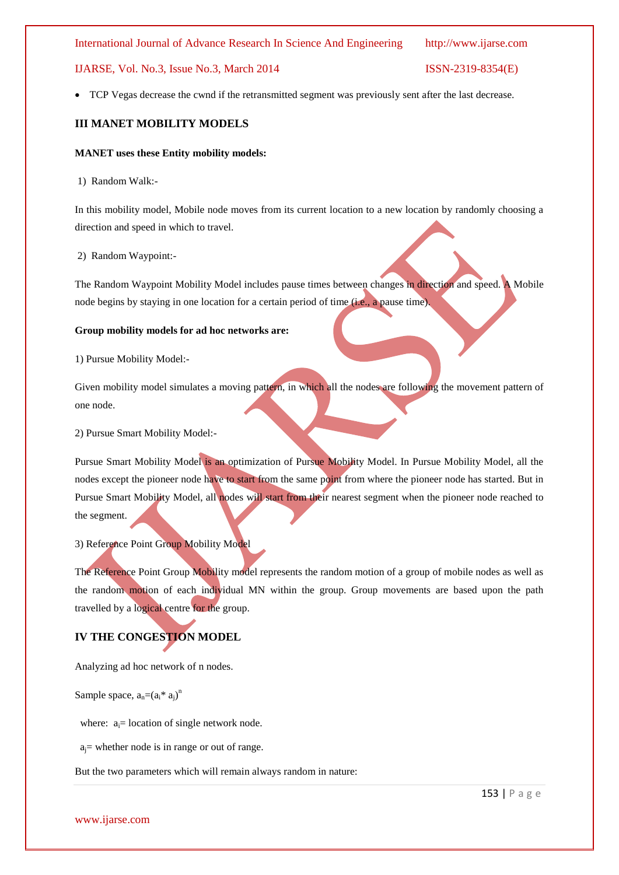IJARSE, Vol. No.3, Issue No.3, March 2014 ISSN-2319-8354(E)

TCP Vegas decrease the cwnd if the retransmitted segment was previously sent after the last decrease.

### **III MANET MOBILITY MODELS**

#### **MANET uses these Entity mobility models:**

1) Random Walk:-

In this mobility model, Mobile node moves from its current location to a new location by randomly choosing a direction and speed in which to travel.

2) Random Waypoint:-

The Random Waypoint Mobility Model includes pause times between changes in direction and speed. A Mobile node begins by staying in one location for a certain period of time (i.e., a pause time).

#### **Group mobility models for ad hoc networks are:**

1) Pursue Mobility Model:-

Given mobility model simulates a moving pattern, in which all the nodes are following the movement pattern of one node.

2) Pursue Smart Mobility Model:-

Pursue Smart Mobility Model is an optimization of Pursue Mobility Model. In Pursue Mobility Model, all the nodes except the pioneer node have to start from the same point from where the pioneer node has started. But in Pursue Smart Mobility Model, all nodes will start from their nearest segment when the pioneer node reached to the segment.

### 3) Reference Point Group Mobility Model

The Reference Point Group Mobility model represents the random motion of a group of mobile nodes as well as the random motion of each individual MN within the group. Group movements are based upon the path travelled by a logical centre for the group.

# **IV THE CONGESTION MODEL**

Analyzing ad hoc network of n nodes.

Sample space,  $a_n = (a_i * a_j)^n$ 

where:  $a =$  location of single network node.

 $a_i$ = whether node is in range or out of range.

But the two parameters which will remain always random in nature: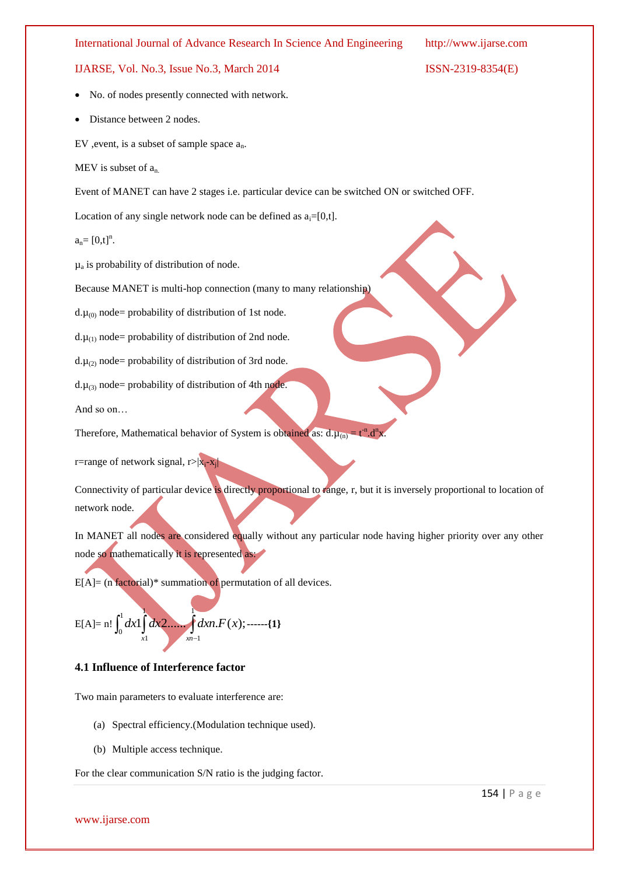### IJARSE, Vol. No.3, Issue No.3, March 2014 ISSN-2319-8354(E)

- No. of nodes presently connected with network.
- Distance between 2 nodes.

EV , event, is a subset of sample space  $a_n$ .

MEV is subset of  $a_n$ .

Event of MANET can have 2 stages i.e. particular device can be switched ON or switched OFF.

Location of any single network node can be defined as  $a_i = [0,t]$ .

 $a_n = [0,t]^n$ .

µa is probability of distribution of node.

Because MANET is multi-hop connection (many to many relationship)

 $d.\mu_{(0)}$  node= probability of distribution of 1st node.

 $d.\mu_{(1)}$  node= probability of distribution of 2nd node.

 $d.\mu_{(2)}$  node= probability of distribution of 3rd node.

 $d.\mu_{(3)}$  node= probability of distribution of 4th node.

And so on…

Therefore, Mathematical behavior of System is obtained as:  $d \mu_{(n)} = t^n d^n$ x.

r=range of network signal, r>|x<sub>i</sub>-x<sub>j</sub>|

Connectivity of particular device is directly proportional to range, r, but it is inversely proportional to location of network node.

In MANET all nodes are considered equally without any particular node having higher priority over any other node so mathematically it is represented as:

 $E[A] = (n$  factorial)\* summation of permutation of all devices.

E[A]= n!  $\int_0^1 dx 1 \int_{x_1}^1 dx 2 \dots \dots \dots$ 1 1 1 1 1  $\int_0^1 dx$   $\int dx$   $\int dx$   $\int$   $dx$   $\int$   $F(x)$ ; *x xn*  $dx1$   $dx2$ .......  $dxn.F(x);$  ------{1}

# **4.1 Influence of Interference factor**

Two main parameters to evaluate interference are:

- (a) Spectral efficiency.(Modulation technique used).
- (b) Multiple access technique.

For the clear communication S/N ratio is the judging factor.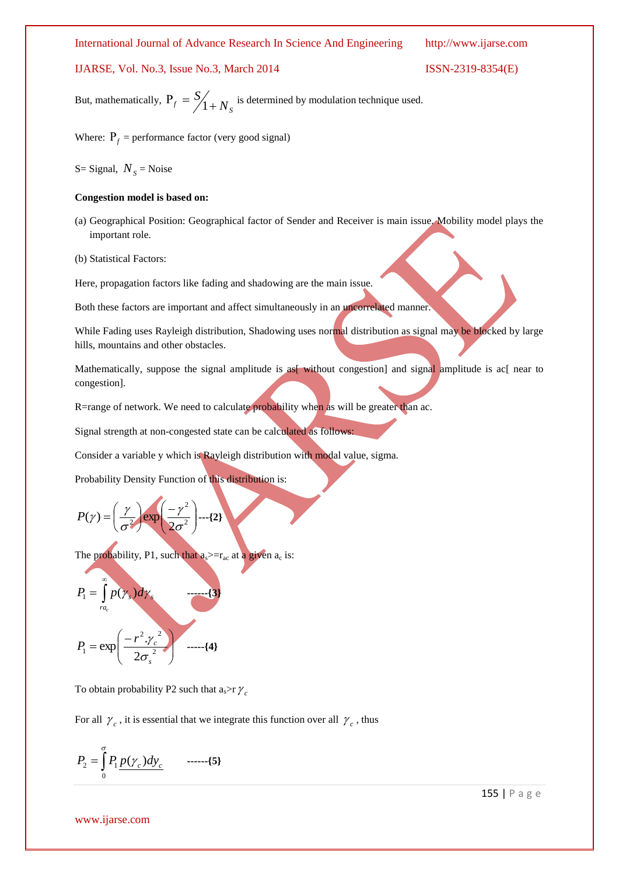IJARSE, Vol. No.3, Issue No.3, March 2014 ISSN-2319-8354(E)

But, mathematically,  $f = \frac{1}{2}$  / 1 + N<sub>S</sub> *S*  $P_f = \frac{S}{\sqrt{1 + N_s}}$  is determined by modulation technique used.

Where:  $P_f$  = performance factor (very good signal)

 $S =$  Signal,  $N_S =$  Noise

### **Congestion model is based on:**

(a) Geographical Position: Geographical factor of Sender and Receiver is main issue. Mobility model plays the important role.

(b) Statistical Factors:

Here, propagation factors like fading and shadowing are the main issue.

Both these factors are important and affect simultaneously in an uncorrelated manner.

While Fading uses Rayleigh distribution, Shadowing uses normal distribution as signal may be blocked by large hills, mountains and other obstacles.

Mathematically, suppose the signal amplitude is as without congestion] and signal amplitude is ac near to congestion].

R=range of network. We need to calculate probability when as will be greater than ac.

Signal strength at non-congested state can be calculated as follows:

Consider a variable y which is Rayleigh distribution with modal value, sigma.

Probability Density Function of this distribution is:

$$
P(\gamma) = \left(\frac{\gamma}{\sigma^2}\right) \exp\left(\frac{-\gamma^2}{2\sigma^2}\right) \cdots \{2\}
$$

The probability, P1, such that  $a_s$  =  $r_{ac}$  at a given  $a_c$  is:

$$
P_1 = \int_{ra_c}^{\infty} p(\gamma_s) d\gamma_s
$$
\n
$$
P_1 = \exp\left(\frac{-r^2 \cdot \gamma_c^2}{2\sigma_s^2}\right) \quad \dots (4)
$$

To obtain probability P2 such that  $a_s > r \gamma_c$ 

For all  $\gamma_c$ , it is essential that we integrate this function over all  $\gamma_c$ , thus

$$
P_2 = \int_0^{\sigma} P_1 \underline{p(\gamma_c)} dy_c \qquad \qquad \text{---} \{5\}
$$

www.ijarse.com